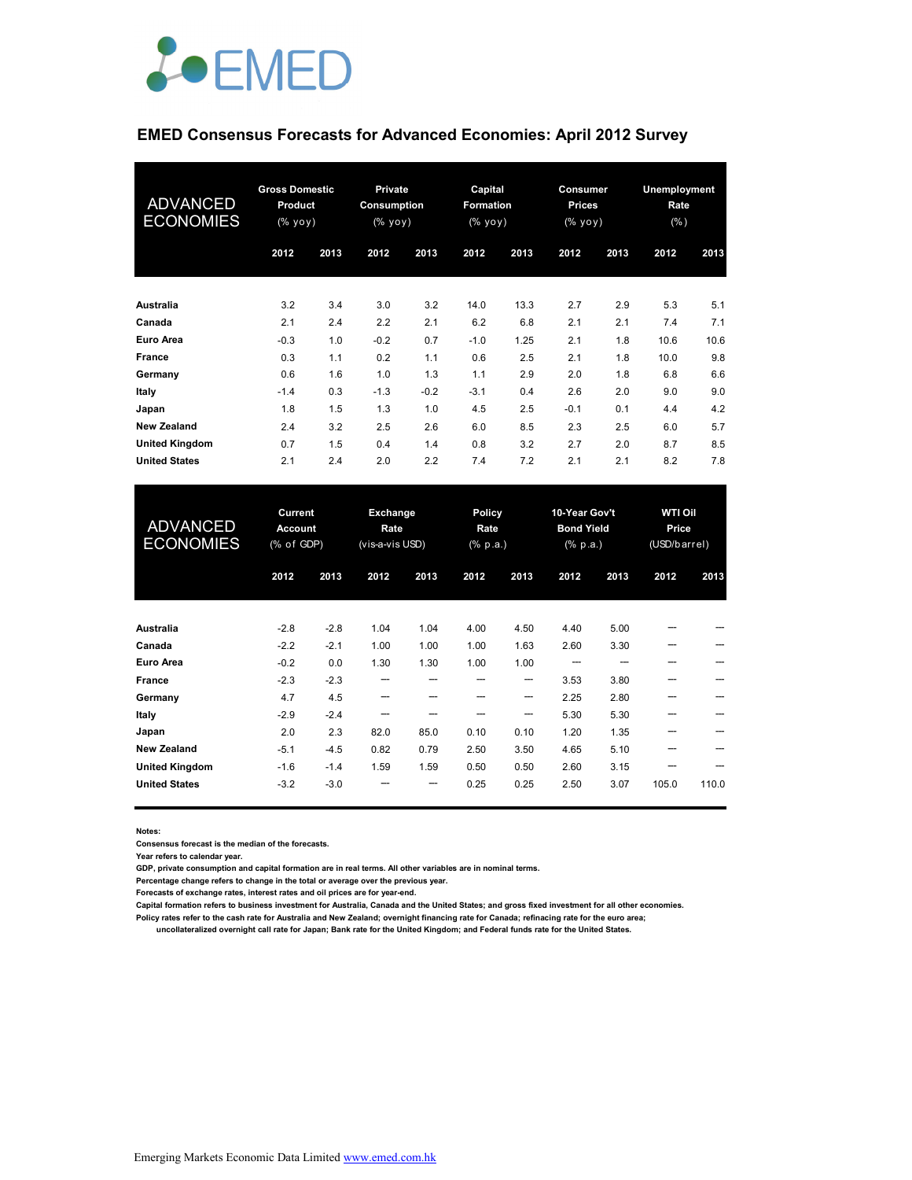

# **EMED Consensus Forecasts for Advanced Economies: April 2012 Survey**

| <b>ADVANCED</b><br><b>ECONOMIES</b> | <b>Gross Domestic</b><br><b>Product</b><br>(% yoy) |      | <b>Private</b><br>Consumption<br>(% уоу) |        | Capital<br>Formation<br>(% yoy) |      | Consumer<br><b>Prices</b><br>(% yoy) |      | Unemployment<br>Rate<br>$(\% )$ |      |
|-------------------------------------|----------------------------------------------------|------|------------------------------------------|--------|---------------------------------|------|--------------------------------------|------|---------------------------------|------|
|                                     | 2012                                               | 2013 | 2012                                     | 2013   | 2012                            | 2013 | 2012                                 | 2013 | 2012                            | 2013 |
| Australia                           | 3.2                                                | 3.4  | 3.0                                      | 3.2    | 14.0                            | 13.3 | 2.7                                  | 2.9  | 5.3                             | 5.1  |
| Canada                              | 2.1                                                | 2.4  | 2.2                                      | 2.1    | 6.2                             | 6.8  | 2.1                                  | 2.1  | 7.4                             | 7.1  |
| <b>Euro Area</b>                    | $-0.3$                                             | 1.0  | $-0.2$                                   | 0.7    | $-1.0$                          | 1.25 | 2.1                                  | 1.8  | 10.6                            | 10.6 |
| <b>France</b>                       | 0.3                                                | 1.1  | 0.2                                      | 1.1    | 0.6                             | 2.5  | 2.1                                  | 1.8  | 10.0                            | 9.8  |
| Germany                             | 0.6                                                | 1.6  | 1.0                                      | 1.3    | 1.1                             | 2.9  | 2.0                                  | 1.8  | 6.8                             | 6.6  |
| Italy                               | $-1.4$                                             | 0.3  | $-1.3$                                   | $-0.2$ | $-3.1$                          | 0.4  | 2.6                                  | 2.0  | 9.0                             | 9.0  |
| Japan                               | 1.8                                                | 1.5  | 1.3                                      | 1.0    | 4.5                             | 2.5  | $-0.1$                               | 0.1  | 4.4                             | 4.2  |
| <b>New Zealand</b>                  | 2.4                                                | 3.2  | 2.5                                      | 2.6    | 6.0                             | 8.5  | 2.3                                  | 2.5  | 6.0                             | 5.7  |
| <b>United Kingdom</b>               | 0.7                                                | 1.5  | 0.4                                      | 1.4    | 0.8                             | 3.2  | 2.7                                  | 2.0  | 8.7                             | 8.5  |
| <b>United States</b>                | 2.1                                                | 2.4  | 2.0                                      | 2.2    | 7.4                             | 7.2  | 2.1                                  | 2.1  | 8.2                             | 7.8  |

| <b>ADVANCED</b><br><b>ECONOMIES</b> | Current<br><b>Account</b><br>$(% \mathcal{L}_{0})$ of GDP) |        | Policy<br><b>Exchange</b><br>Rate<br>Rate<br>(vis-a-vis USD)<br>(% p.a.) |      |      | 10-Year Gov't<br><b>Bond Yield</b><br>(% p.a.) |      | <b>WTI Oil</b><br>Price<br>(USD/barrel) |       |       |
|-------------------------------------|------------------------------------------------------------|--------|--------------------------------------------------------------------------|------|------|------------------------------------------------|------|-----------------------------------------|-------|-------|
|                                     | 2012                                                       | 2013   | 2012                                                                     | 2013 | 2012 | 2013                                           | 2012 | 2013                                    | 2012  | 2013  |
| <b>Australia</b>                    | $-2.8$                                                     | $-2.8$ | 1.04                                                                     | 1.04 | 4.00 | 4.50                                           | 4.40 | 5.00                                    |       |       |
| Canada                              | $-2.2$                                                     | $-2.1$ | 1.00                                                                     | 1.00 | 1.00 | 1.63                                           | 2.60 | 3.30                                    | ---   |       |
| Euro Area                           | $-0.2$                                                     | 0.0    | 1.30                                                                     | 1.30 | 1.00 | 1.00                                           |      |                                         |       |       |
| <b>France</b>                       | $-2.3$                                                     | $-2.3$ | ---                                                                      |      |      | ---                                            | 3.53 | 3.80                                    |       |       |
| Germany                             | 4.7                                                        | 4.5    | ---                                                                      |      |      | ---                                            | 2.25 | 2.80                                    |       |       |
| Italy                               | $-2.9$                                                     | $-2.4$ | ---                                                                      |      |      | ---                                            | 5.30 | 5.30                                    |       |       |
| Japan                               | 2.0                                                        | 2.3    | 82.0                                                                     | 85.0 | 0.10 | 0.10                                           | 1.20 | 1.35                                    |       |       |
| <b>New Zealand</b>                  | $-5.1$                                                     | $-4.5$ | 0.82                                                                     | 0.79 | 2.50 | 3.50                                           | 4.65 | 5.10                                    |       |       |
| <b>United Kingdom</b>               | $-1.6$                                                     | $-1.4$ | 1.59                                                                     | 1.59 | 0.50 | 0.50                                           | 2.60 | 3.15                                    |       |       |
| <b>United States</b>                | $-3.2$                                                     | $-3.0$ |                                                                          | ---  | 0.25 | 0.25                                           | 2.50 | 3.07                                    | 105.0 | 110.0 |

**Notes:** 

**Consensus forecast is the median of the forecasts.**

**Year refers to calendar year.**

**GDP, private consumption and capital formation are in real terms. All other variables are in nominal terms.**

**Percentage change refers to change in the total or average over the previous year.**

**Forecasts of exchange rates, interest rates and oil prices are for year-end.**

**Capital formation refers to business investment for Australia, Canada and the United States; and gross fixed investment for all other economies.**

**Policy rates refer to the cash rate for Australia and New Zealand; overnight financing rate for Canada; refinacing rate for the euro area;** 

 **uncollateralized overnight call rate for Japan; Bank rate for the United Kingdom; and Federal funds rate for the United States.**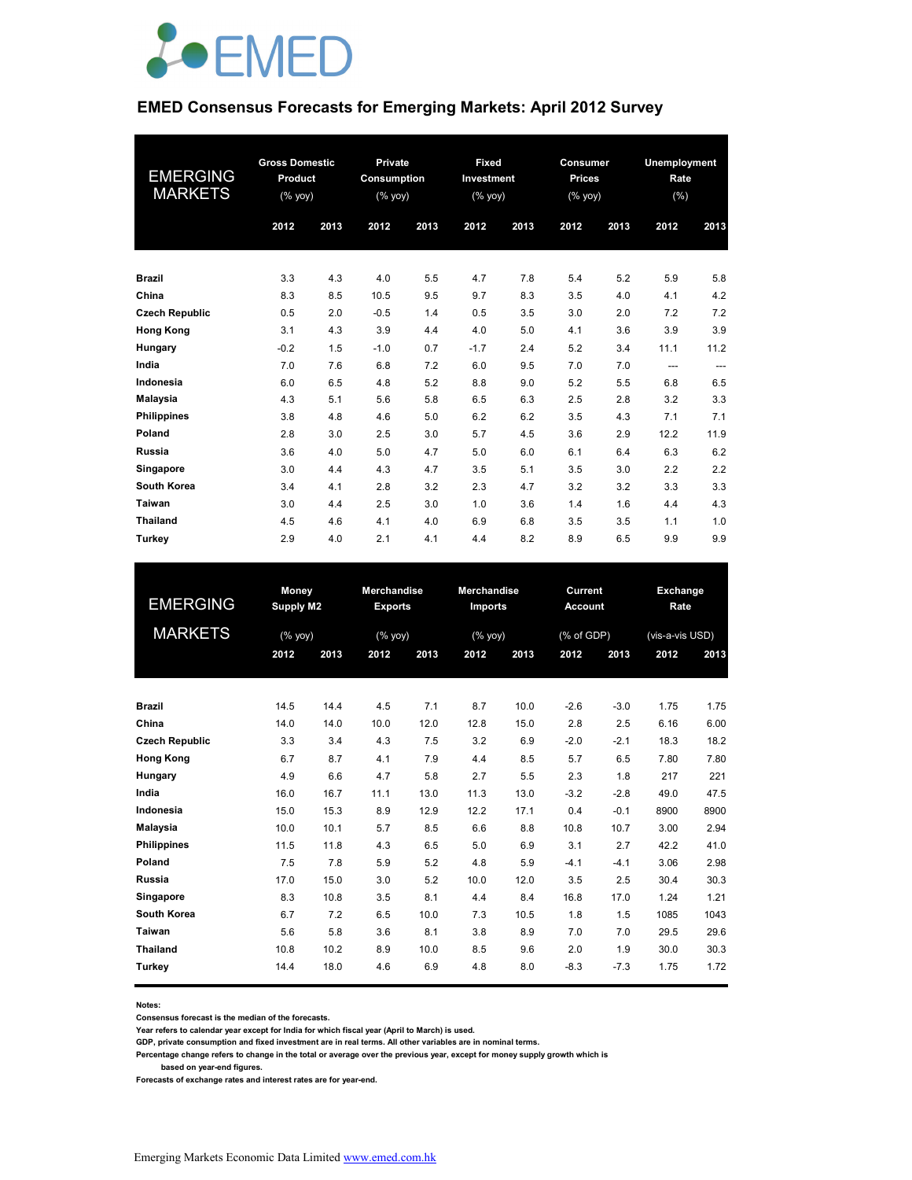

### **EMED Consensus Forecasts for Emerging Markets: April 2012 Survey**

| <b>EMERGING</b><br><b>MARKETS</b> | <b>Gross Domestic</b><br>Product<br>(% |      | Private<br>Consumption<br>$(\sqrt{6}$ yoy) |      | Fixed<br>Investment<br>$(% \mathsf{A}\rightarrow \mathsf{A})$ (% yoy) |      | Consumer<br><b>Prices</b><br>$(% \mathsf{Y}^{\prime }\mathsf{Y}^{\prime }\mathsf{Y}^{\prime })$ |      | Unemployment<br>Rate<br>(% ) |       |
|-----------------------------------|----------------------------------------|------|--------------------------------------------|------|-----------------------------------------------------------------------|------|-------------------------------------------------------------------------------------------------|------|------------------------------|-------|
|                                   | 2012                                   | 2013 | 2012                                       | 2013 | 2012                                                                  | 2013 | 2012                                                                                            | 2013 | 2012                         | 2013  |
| <b>Brazil</b>                     | 3.3                                    | 4.3  | 4.0                                        | 5.5  | 4.7                                                                   | 7.8  | 5.4                                                                                             | 5.2  | 5.9                          | 5.8   |
| China                             | 8.3                                    | 8.5  | 10.5                                       | 9.5  | 9.7                                                                   | 8.3  | 3.5                                                                                             | 4.0  | 4.1                          | 4.2   |
| <b>Czech Republic</b>             | 0.5                                    | 2.0  | $-0.5$                                     | 1.4  | 0.5                                                                   | 3.5  | 3.0                                                                                             | 2.0  | 7.2                          | 7.2   |
| <b>Hong Kong</b>                  | 3.1                                    | 4.3  | 3.9                                        | 4.4  | 4.0                                                                   | 5.0  | 4.1                                                                                             | 3.6  | 3.9                          | 3.9   |
| Hungary                           | $-0.2$                                 | 1.5  | $-1.0$                                     | 0.7  | $-1.7$                                                                | 2.4  | 5.2                                                                                             | 3.4  | 11.1                         | 11.2  |
| India                             | 7.0                                    | 7.6  | 6.8                                        | 7.2  | 6.0                                                                   | 9.5  | 7.0                                                                                             | 7.0  | $---$                        | $---$ |
| Indonesia                         | 6.0                                    | 6.5  | 4.8                                        | 5.2  | 8.8                                                                   | 9.0  | 5.2                                                                                             | 5.5  | 6.8                          | 6.5   |
| <b>Malaysia</b>                   | 4.3                                    | 5.1  | 5.6                                        | 5.8  | 6.5                                                                   | 6.3  | 2.5                                                                                             | 2.8  | 3.2                          | 3.3   |
| <b>Philippines</b>                | 3.8                                    | 4.8  | 4.6                                        | 5.0  | 6.2                                                                   | 6.2  | 3.5                                                                                             | 4.3  | 7.1                          | 7.1   |
| Poland                            | 2.8                                    | 3.0  | 2.5                                        | 3.0  | 5.7                                                                   | 4.5  | 3.6                                                                                             | 2.9  | 12.2                         | 11.9  |
| <b>Russia</b>                     | 3.6                                    | 4.0  | 5.0                                        | 4.7  | 5.0                                                                   | 6.0  | 6.1                                                                                             | 6.4  | 6.3                          | 6.2   |
| Singapore                         | 3.0                                    | 4.4  | 4.3                                        | 4.7  | 3.5                                                                   | 5.1  | 3.5                                                                                             | 3.0  | 2.2                          | 2.2   |
| South Korea                       | 3.4                                    | 4.1  | 2.8                                        | 3.2  | 2.3                                                                   | 4.7  | 3.2                                                                                             | 3.2  | 3.3                          | 3.3   |
| Taiwan                            | 3.0                                    | 4.4  | 2.5                                        | 3.0  | 1.0                                                                   | 3.6  | 1.4                                                                                             | 1.6  | 4.4                          | 4.3   |
| <b>Thailand</b>                   | 4.5                                    | 4.6  | 4.1                                        | 4.0  | 6.9                                                                   | 6.8  | 3.5                                                                                             | 3.5  | 1.1                          | 1.0   |
| Turkey                            | 2.9                                    | 4.0  | 2.1                                        | 4.1  | 4.4                                                                   | 8.2  | 8.9                                                                                             | 6.5  | 9.9                          | 9.9   |

| <b>EMERGING</b>       | Money<br><b>Supply M2</b>                                          |      | <b>Merchandise</b><br><b>Exports</b> |      | <b>Merchandise</b><br><b>Imports</b> |      | Current<br><b>Account</b> |        |                 | Exchange<br>Rate |  |
|-----------------------|--------------------------------------------------------------------|------|--------------------------------------|------|--------------------------------------|------|---------------------------|--------|-----------------|------------------|--|
| <b>MARKETS</b>        | $(% \mathsf{Y}^{\prime }\mathsf{Y}^{\prime }\mathsf{Y}^{\prime })$ |      | (% yoy)                              |      | (% yoy)                              |      | (% of GDP)                |        | (vis-a-vis USD) |                  |  |
|                       | 2012                                                               | 2013 | 2012                                 | 2013 | 2012                                 | 2013 | 2012                      | 2013   | 2012            | 2013             |  |
| <b>Brazil</b>         | 14.5                                                               | 14.4 | 4.5                                  | 7.1  | 8.7                                  | 10.0 | $-2.6$                    | $-3.0$ | 1.75            | 1.75             |  |
| China                 | 14.0                                                               | 14.0 | 10.0                                 | 12.0 | 12.8                                 | 15.0 | 2.8                       | 2.5    | 6.16            | 6.00             |  |
| <b>Czech Republic</b> | 3.3                                                                | 3.4  | 4.3                                  | 7.5  | 3.2                                  | 6.9  | $-2.0$                    | $-2.1$ | 18.3            | 18.2             |  |
| <b>Hong Kong</b>      | 6.7                                                                | 8.7  | 4.1                                  | 7.9  | 4.4                                  | 8.5  | 5.7                       | 6.5    | 7.80            | 7.80             |  |
| Hungary               | 4.9                                                                | 6.6  | 4.7                                  | 5.8  | 2.7                                  | 5.5  | 2.3                       | 1.8    | 217             | 221              |  |
| India                 | 16.0                                                               | 16.7 | 11.1                                 | 13.0 | 11.3                                 | 13.0 | $-3.2$                    | $-2.8$ | 49.0            | 47.5             |  |
| Indonesia             | 15.0                                                               | 15.3 | 8.9                                  | 12.9 | 12.2                                 | 17.1 | 0.4                       | $-0.1$ | 8900            | 8900             |  |
| Malaysia              | 10.0                                                               | 10.1 | 5.7                                  | 8.5  | 6.6                                  | 8.8  | 10.8                      | 10.7   | 3.00            | 2.94             |  |
| <b>Philippines</b>    | 11.5                                                               | 11.8 | 4.3                                  | 6.5  | 5.0                                  | 6.9  | 3.1                       | 2.7    | 42.2            | 41.0             |  |
| Poland                | 7.5                                                                | 7.8  | 5.9                                  | 5.2  | 4.8                                  | 5.9  | $-4.1$                    | $-4.1$ | 3.06            | 2.98             |  |
| Russia                | 17.0                                                               | 15.0 | 3.0                                  | 5.2  | 10.0                                 | 12.0 | 3.5                       | 2.5    | 30.4            | 30.3             |  |
| Singapore             | 8.3                                                                | 10.8 | 3.5                                  | 8.1  | 4.4                                  | 8.4  | 16.8                      | 17.0   | 1.24            | 1.21             |  |
| South Korea           | 6.7                                                                | 7.2  | 6.5                                  | 10.0 | 7.3                                  | 10.5 | 1.8                       | 1.5    | 1085            | 1043             |  |
| Taiwan                | 5.6                                                                | 5.8  | 3.6                                  | 8.1  | 3.8                                  | 8.9  | 7.0                       | 7.0    | 29.5            | 29.6             |  |
| <b>Thailand</b>       | 10.8                                                               | 10.2 | 8.9                                  | 10.0 | 8.5                                  | 9.6  | 2.0                       | 1.9    | 30.0            | 30.3             |  |
| Turkey                | 14.4                                                               | 18.0 | 4.6                                  | 6.9  | 4.8                                  | 8.0  | $-8.3$                    | $-7.3$ | 1.75            | 1.72             |  |

**Notes:** 

**Consensus forecast is the median of the forecasts.**

**Year refers to calendar year except for India for which fiscal year (April to March) is used.**

**GDP, private consumption and fixed investment are in real terms. All other variables are in nominal terms.**

**Percentage change refers to change in the total or average over the previous year, except for money supply growth which is** 

 **based on year-end figures.**

**Forecasts of exchange rates and interest rates are for year-end.**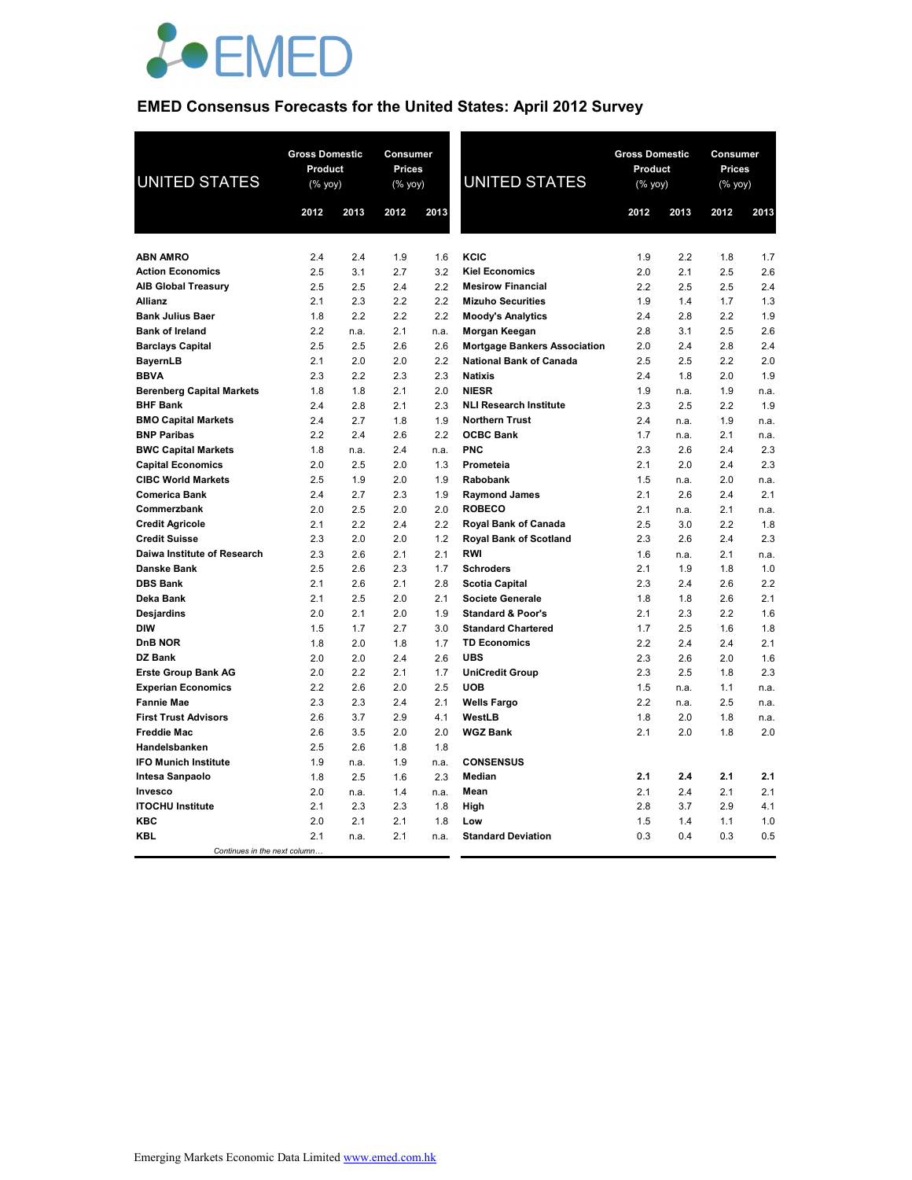

# **EMED Consensus Forecasts for the United States: April 2012 Survey**

| <b>UNITED STATES</b>                                   | <b>Gross Domestic</b><br>Product<br>$(% \mathsf{Y}^{\prime }\mathsf{Y}^{\prime }\mathsf{Y}^{\prime })$ |             | Consumer<br><b>Prices</b><br>(% yoy) |             | <b>UNITED STATES</b>                      | <b>Gross Domestic</b><br>Product<br>(% yoy) |             | Consumer<br><b>Prices</b><br>(% yoy) |             |
|--------------------------------------------------------|--------------------------------------------------------------------------------------------------------|-------------|--------------------------------------|-------------|-------------------------------------------|---------------------------------------------|-------------|--------------------------------------|-------------|
|                                                        | 2012                                                                                                   | 2013        | 2012                                 | 2013        |                                           | 2012                                        | 2013        | 2012                                 | 2013        |
|                                                        |                                                                                                        |             |                                      |             |                                           |                                             |             |                                      |             |
| <b>ABN AMRO</b>                                        | 2.4                                                                                                    | 2.4         | 1.9                                  | 1.6         | KCIC                                      | 1.9                                         | 2.2         | 1.8                                  | 1.7         |
| <b>Action Economics</b>                                | 2.5                                                                                                    | 3.1         | 2.7                                  | 3.2         | <b>Kiel Economics</b>                     | 2.0                                         | 2.1         | 2.5                                  | 2.6         |
| <b>AIB Global Treasury</b>                             | 2.5                                                                                                    | 2.5         | 2.4                                  | 2.2         | <b>Mesirow Financial</b>                  | 2.2                                         | 2.5         | 2.5                                  | 2.4         |
| Allianz                                                | 2.1                                                                                                    | 2.3         | 2.2                                  | 2.2         | <b>Mizuho Securities</b>                  | 1.9                                         | 1.4         | 1.7                                  | 1.3         |
| <b>Bank Julius Baer</b>                                | 1.8                                                                                                    | 2.2         | 2.2                                  | 2.2         | <b>Moody's Analytics</b>                  | 2.4                                         | 2.8         | 2.2                                  | 1.9         |
| <b>Bank of Ireland</b>                                 | 2.2                                                                                                    | n.a.        | 2.1                                  | n.a.        | Morgan Keegan                             | 2.8                                         | 3.1         | 2.5                                  | 2.6         |
| <b>Barclays Capital</b>                                | 2.5                                                                                                    | 2.5         | 2.6                                  | 2.6         | <b>Mortgage Bankers Association</b>       | 2.0                                         | 2.4         | 2.8                                  | 2.4         |
| <b>BayernLB</b>                                        | 2.1                                                                                                    | 2.0         | 2.0                                  | 2.2         | <b>National Bank of Canada</b>            | 2.5                                         | 2.5         | 2.2                                  | 2.0         |
| <b>BBVA</b>                                            | 2.3                                                                                                    | 2.2         | 2.3                                  | 2.3         | <b>Natixis</b>                            | 2.4                                         | 1.8         | 2.0                                  | 1.9         |
| <b>Berenberg Capital Markets</b>                       | 1.8                                                                                                    | 1.8         | 2.1                                  | 2.0         | <b>NIESR</b>                              | 1.9                                         | n.a.        | 1.9                                  | n.a.        |
| <b>BHF Bank</b>                                        | 2.4                                                                                                    | 2.8         | 2.1                                  | 2.3         | <b>NLI Research Institute</b>             | 2.3                                         | 2.5         | 2.2                                  | 1.9         |
| <b>BMO Capital Markets</b><br><b>BNP Paribas</b>       | 2.4                                                                                                    | 2.7         | 1.8                                  | 1.9         | <b>Northern Trust</b><br><b>OCBC Bank</b> | 2.4                                         | n.a.        | 1.9                                  | n.a.        |
|                                                        | 2.2<br>1.8                                                                                             | 2.4         | 2.6<br>2.4                           | 2.2         | <b>PNC</b>                                | 1.7<br>2.3                                  | n.a.<br>2.6 | 2.1<br>2.4                           | n.a.<br>2.3 |
| <b>BWC Capital Markets</b><br><b>Capital Economics</b> | 2.0                                                                                                    | n.a.<br>2.5 | 2.0                                  | n.a.<br>1.3 | Prometeia                                 | 2.1                                         | 2.0         | 2.4                                  | 2.3         |
| <b>CIBC World Markets</b>                              | 2.5                                                                                                    | 1.9         | 2.0                                  | 1.9         | Rabobank                                  | 1.5                                         | n.a.        | 2.0                                  | n.a.        |
| <b>Comerica Bank</b>                                   | 2.4                                                                                                    | 2.7         | 2.3                                  | 1.9         | <b>Raymond James</b>                      | 2.1                                         | 2.6         | 2.4                                  | 2.1         |
| Commerzbank                                            | 2.0                                                                                                    | 2.5         | 2.0                                  | 2.0         | <b>ROBECO</b>                             | 2.1                                         | n.a.        | 2.1                                  | n.a.        |
| <b>Credit Agricole</b>                                 | 2.1                                                                                                    | 2.2         | 2.4                                  | 2.2         | Royal Bank of Canada                      | 2.5                                         | 3.0         | 2.2                                  | 1.8         |
| <b>Credit Suisse</b>                                   | 2.3                                                                                                    | 2.0         | 2.0                                  | 1.2         | <b>Royal Bank of Scotland</b>             | 2.3                                         | 2.6         | 2.4                                  | 2.3         |
| Daiwa Institute of Research                            | 2.3                                                                                                    | 2.6         | 2.1                                  | 2.1         | <b>RWI</b>                                | 1.6                                         | n.a.        | 2.1                                  | n.a.        |
| <b>Danske Bank</b>                                     | 2.5                                                                                                    | 2.6         | 2.3                                  | 1.7         | <b>Schroders</b>                          | 2.1                                         | 1.9         | 1.8                                  | 1.0         |
| <b>DBS Bank</b>                                        | 2.1                                                                                                    | 2.6         | 2.1                                  | 2.8         | <b>Scotia Capital</b>                     | 2.3                                         | 2.4         | 2.6                                  | 2.2         |
| Deka Bank                                              | 2.1                                                                                                    | 2.5         | 2.0                                  | 2.1         | <b>Societe Generale</b>                   | 1.8                                         | 1.8         | 2.6                                  | 2.1         |
| <b>Desjardins</b>                                      | 2.0                                                                                                    | 2.1         | 2.0                                  | 1.9         | <b>Standard &amp; Poor's</b>              | 2.1                                         | 2.3         | 2.2                                  | 1.6         |
| <b>DIW</b>                                             | 1.5                                                                                                    | 1.7         | 2.7                                  | 3.0         | <b>Standard Chartered</b>                 | 1.7                                         | 2.5         | 1.6                                  | 1.8         |
| <b>DnB NOR</b>                                         | 1.8                                                                                                    | 2.0         | 1.8                                  | 1.7         | <b>TD Economics</b>                       | 2.2                                         | 2.4         | 2.4                                  | 2.1         |
| DZ Bank                                                | 2.0                                                                                                    | 2.0         | 2.4                                  | 2.6         | <b>UBS</b>                                | 2.3                                         | 2.6         | 2.0                                  | 1.6         |
| <b>Erste Group Bank AG</b>                             | 2.0                                                                                                    | 2.2         | 2.1                                  | 1.7         | <b>UniCredit Group</b>                    | 2.3                                         | 2.5         | 1.8                                  | 2.3         |
| <b>Experian Economics</b>                              | 2.2                                                                                                    | 2.6         | 2.0                                  | 2.5         | <b>UOB</b>                                | 1.5                                         | n.a.        | 1.1                                  | n.a.        |
| <b>Fannie Mae</b>                                      | 2.3                                                                                                    | 2.3         | 2.4                                  | 2.1         | <b>Wells Fargo</b>                        | 2.2                                         | n.a.        | 2.5                                  | n.a.        |
| <b>First Trust Advisors</b>                            | 2.6                                                                                                    | 3.7         | 2.9                                  | 4.1         | WestLB                                    | 1.8                                         | 2.0         | 1.8                                  | n.a.        |
| <b>Freddie Mac</b>                                     | 2.6                                                                                                    | 3.5         | 2.0                                  | 2.0         | <b>WGZ Bank</b>                           | 2.1                                         | 2.0         | 1.8                                  | 2.0         |
| Handelsbanken                                          | 2.5                                                                                                    | 2.6         | 1.8                                  | 1.8         |                                           |                                             |             |                                      |             |
| <b>IFO Munich Institute</b>                            | 1.9                                                                                                    | n.a.        | 1.9                                  | n.a.        | <b>CONSENSUS</b>                          |                                             |             |                                      |             |
| Intesa Sanpaolo                                        | 1.8                                                                                                    | 2.5         | 1.6                                  | 2.3         | Median                                    | 2.1                                         | 2.4         | 2.1                                  | 2.1         |
| Invesco                                                | 2.0                                                                                                    | n.a.        | 1.4                                  | n.a.        | Mean                                      | 2.1                                         | 2.4         | 2.1                                  | 2.1         |
| <b>ITOCHU Institute</b>                                | 2.1                                                                                                    | 2.3         | 2.3                                  | 1.8         | High                                      | 2.8                                         | 3.7         | 2.9                                  | 4.1         |
| <b>KBC</b>                                             | 2.0                                                                                                    | 2.1         | 2.1                                  | 1.8         | Low                                       | 1.5                                         | 1.4         | 1.1                                  | 1.0         |
| <b>KBL</b>                                             | 2.1                                                                                                    | n.a.        | 2.1                                  | n.a.        | <b>Standard Deviation</b>                 | 0.3                                         | 0.4         | 0.3                                  | 0.5         |
| Continues in the next column                           |                                                                                                        |             |                                      |             |                                           |                                             |             |                                      |             |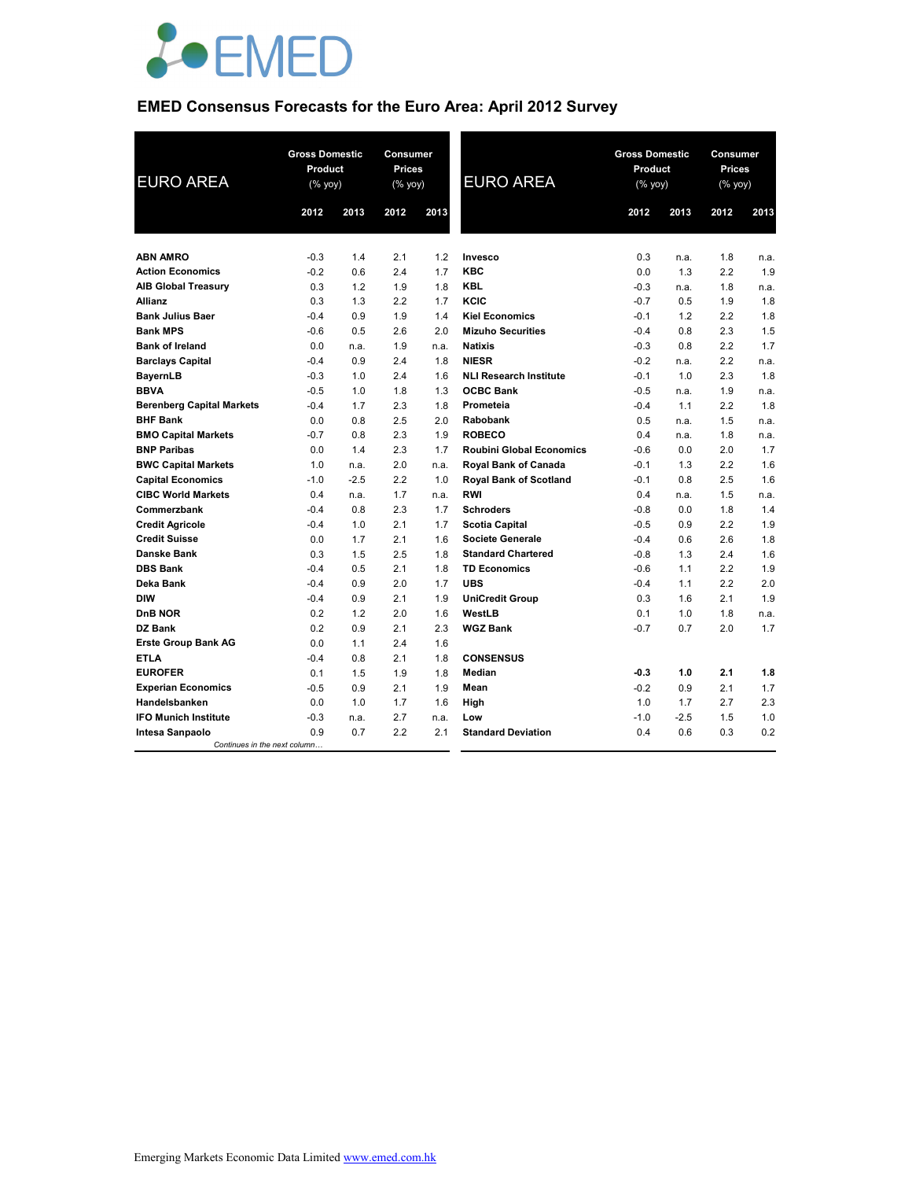

# **EMED Consensus Forecasts for the Euro Area: April 2012 Survey**

| <b>EURO AREA</b>                 | <b>Gross Domestic</b><br>Product<br>(% yoy) |        | <b>Consumer</b><br><b>Prices</b><br>(% yoy) |      | <b>EURO AREA</b>                | <b>Gross Domestic</b><br>Product<br>(% yoy) |        | Consumer<br><b>Prices</b><br>(% yoy) |      |
|----------------------------------|---------------------------------------------|--------|---------------------------------------------|------|---------------------------------|---------------------------------------------|--------|--------------------------------------|------|
|                                  | 2012                                        | 2013   | 2012                                        | 2013 |                                 | 2012                                        | 2013   | 2012                                 | 2013 |
|                                  |                                             |        |                                             |      |                                 |                                             |        |                                      |      |
| <b>ABN AMRO</b>                  | $-0.3$                                      | 1.4    | 2.1                                         | 1.2  | Invesco                         | 0.3                                         | n.a.   | 1.8                                  | n.a. |
| <b>Action Economics</b>          | $-0.2$                                      | 0.6    | 2.4                                         | 1.7  | <b>KBC</b>                      | 0.0                                         | 1.3    | 2.2                                  | 1.9  |
| <b>AIB Global Treasury</b>       | 0.3                                         | 1.2    | 1.9                                         | 1.8  | <b>KBL</b>                      | $-0.3$                                      | n.a.   | 1.8                                  | n.a. |
| <b>Allianz</b>                   | 0.3                                         | 1.3    | 2.2                                         | 1.7  | KCIC                            | $-0.7$                                      | 0.5    | 1.9                                  | 1.8  |
| <b>Bank Julius Baer</b>          | $-0.4$                                      | 0.9    | 1.9                                         | 1.4  | <b>Kiel Economics</b>           | $-0.1$                                      | 1.2    | 2.2                                  | 1.8  |
| <b>Bank MPS</b>                  | $-0.6$                                      | 0.5    | 2.6                                         | 2.0  | <b>Mizuho Securities</b>        | $-0.4$                                      | 0.8    | 2.3                                  | 1.5  |
| <b>Bank of Ireland</b>           | 0.0                                         | n.a.   | 1.9                                         | n.a. | <b>Natixis</b>                  | $-0.3$                                      | 0.8    | 2.2                                  | 1.7  |
| <b>Barclays Capital</b>          | $-0.4$                                      | 0.9    | 2.4                                         | 1.8  | <b>NIESR</b>                    | $-0.2$                                      | n.a.   | 2.2                                  | n.a. |
| <b>BayernLB</b>                  | $-0.3$                                      | 1.0    | 2.4                                         | 1.6  | <b>NLI Research Institute</b>   | $-0.1$                                      | 1.0    | 2.3                                  | 1.8  |
| <b>BBVA</b>                      | $-0.5$                                      | 1.0    | 1.8                                         | 1.3  | <b>OCBC Bank</b>                | $-0.5$                                      | n.a.   | 1.9                                  | n.a. |
| <b>Berenberg Capital Markets</b> | $-0.4$                                      | 1.7    | 2.3                                         | 1.8  | Prometeia                       | $-0.4$                                      | 1.1    | 2.2                                  | 1.8  |
| <b>BHF Bank</b>                  | 0.0                                         | 0.8    | 2.5                                         | 2.0  | Rabobank                        | 0.5                                         | n.a.   | 1.5                                  | n.a. |
| <b>BMO Capital Markets</b>       | $-0.7$                                      | 0.8    | 2.3                                         | 1.9  | <b>ROBECO</b>                   | 0.4                                         | n.a.   | 1.8                                  | n.a. |
| <b>BNP Paribas</b>               | 0.0                                         | 1.4    | 2.3                                         | 1.7  | <b>Roubini Global Economics</b> | $-0.6$                                      | 0.0    | 2.0                                  | 1.7  |
| <b>BWC Capital Markets</b>       | 1.0                                         | n.a.   | 2.0                                         | n.a. | <b>Royal Bank of Canada</b>     | $-0.1$                                      | 1.3    | 2.2                                  | 1.6  |
| <b>Capital Economics</b>         | $-1.0$                                      | $-2.5$ | 2.2                                         | 1.0  | <b>Royal Bank of Scotland</b>   | $-0.1$                                      | 0.8    | 2.5                                  | 1.6  |
| <b>CIBC World Markets</b>        | 0.4                                         | n.a.   | 1.7                                         | n.a. | <b>RWI</b>                      | 0.4                                         | n.a.   | 1.5                                  | n.a. |
| Commerzbank                      | $-0.4$                                      | 0.8    | 2.3                                         | 1.7  | <b>Schroders</b>                | $-0.8$                                      | 0.0    | 1.8                                  | 1.4  |
| <b>Credit Agricole</b>           | $-0.4$                                      | 1.0    | 2.1                                         | 1.7  | <b>Scotia Capital</b>           | $-0.5$                                      | 0.9    | 2.2                                  | 1.9  |
| <b>Credit Suisse</b>             | 0.0                                         | 1.7    | 2.1                                         | 1.6  | <b>Societe Generale</b>         | $-0.4$                                      | 0.6    | 2.6                                  | 1.8  |
| Danske Bank                      | 0.3                                         | 1.5    | 2.5                                         | 1.8  | <b>Standard Chartered</b>       | $-0.8$                                      | 1.3    | 2.4                                  | 1.6  |
| <b>DBS Bank</b>                  | $-0.4$                                      | 0.5    | 2.1                                         | 1.8  | <b>TD Economics</b>             | $-0.6$                                      | 1.1    | 2.2                                  | 1.9  |
| Deka Bank                        | $-0.4$                                      | 0.9    | 2.0                                         | 1.7  | <b>UBS</b>                      | $-0.4$                                      | 1.1    | 2.2                                  | 2.0  |
| <b>DIW</b>                       | $-0.4$                                      | 0.9    | 2.1                                         | 1.9  | <b>UniCredit Group</b>          | 0.3                                         | 1.6    | 2.1                                  | 1.9  |
| <b>DnB NOR</b>                   | 0.2                                         | 1.2    | 2.0                                         | 1.6  | WestLB                          | 0.1                                         | 1.0    | 1.8                                  | n.a. |
| <b>DZ Bank</b>                   | 0.2                                         | 0.9    | 2.1                                         | 2.3  | <b>WGZ Bank</b>                 | $-0.7$                                      | 0.7    | 2.0                                  | 1.7  |
| <b>Erste Group Bank AG</b>       | 0.0                                         | 1.1    | 2.4                                         | 1.6  |                                 |                                             |        |                                      |      |
| <b>ETLA</b>                      | $-0.4$                                      | 0.8    | 2.1                                         | 1.8  | <b>CONSENSUS</b>                |                                             |        |                                      |      |
| <b>EUROFER</b>                   | 0.1                                         | 1.5    | 1.9                                         | 1.8  | Median                          | $-0.3$                                      | 1.0    | 2.1                                  | 1.8  |
| <b>Experian Economics</b>        | $-0.5$                                      | 0.9    | 2.1                                         | 1.9  | Mean                            | $-0.2$                                      | 0.9    | 2.1                                  | 1.7  |
| Handelsbanken                    | 0.0                                         | 1.0    | 1.7                                         | 1.6  | High                            | 1.0                                         | 1.7    | 2.7                                  | 2.3  |
| <b>IFO Munich Institute</b>      | $-0.3$                                      | n.a.   | 2.7                                         | n.a. | Low                             | $-1.0$                                      | $-2.5$ | 1.5                                  | 1.0  |
| Intesa Sanpaolo                  | 0.9                                         | 0.7    | 2.2                                         | 2.1  | <b>Standard Deviation</b>       | 0.4                                         | 0.6    | 0.3                                  | 0.2  |
| Continues in the next column     |                                             |        |                                             |      |                                 |                                             |        |                                      |      |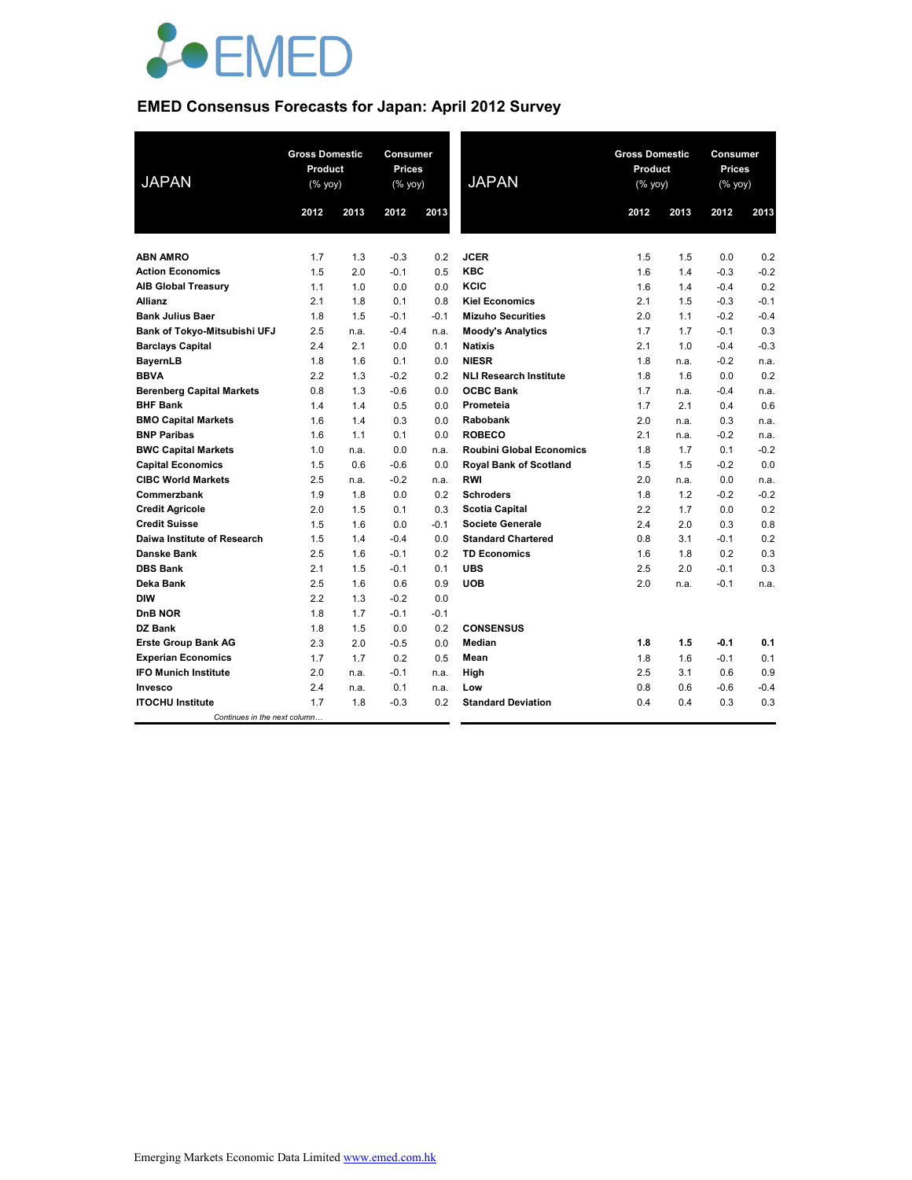

# **EMED Consensus Forecasts for Japan: April 2012 Survey**

| <b>JAPAN</b>                     |         | <b>Gross Domestic</b><br><b>Gross Domestic</b><br>Consumer<br>Product<br><b>Prices</b><br>Product<br><b>JAPAN</b><br>(% yoy)<br>(% yoy)<br>$(%$ yoy) |        |        | Consumer<br><b>Prices</b><br>(% |      |      |        |        |
|----------------------------------|---------|------------------------------------------------------------------------------------------------------------------------------------------------------|--------|--------|---------------------------------|------|------|--------|--------|
|                                  | 2012    | 2013                                                                                                                                                 | 2012   | 2013   |                                 | 2012 | 2013 | 2012   | 2013   |
|                                  |         |                                                                                                                                                      |        |        |                                 |      |      |        |        |
| <b>ABN AMRO</b>                  | 1.7     | 1.3                                                                                                                                                  | $-0.3$ | 0.2    | <b>JCER</b>                     | 1.5  | 1.5  | 0.0    | 0.2    |
| <b>Action Economics</b>          | 1.5     | 2.0                                                                                                                                                  | $-0.1$ | 0.5    | <b>KBC</b>                      | 1.6  | 1.4  | $-0.3$ | $-0.2$ |
| <b>AIB Global Treasury</b>       | 1.1     | 1.0                                                                                                                                                  | 0.0    | 0.0    | KCIC                            | 1.6  | 1.4  | $-0.4$ | 0.2    |
| <b>Allianz</b>                   | 2.1     | 1.8                                                                                                                                                  | 0.1    | 0.8    | <b>Kiel Economics</b>           | 2.1  | 1.5  | $-0.3$ | $-0.1$ |
| <b>Bank Julius Baer</b>          | 1.8     | 1.5                                                                                                                                                  | $-0.1$ | $-0.1$ | <b>Mizuho Securities</b>        | 2.0  | 1.1  | $-0.2$ | $-0.4$ |
| Bank of Tokyo-Mitsubishi UFJ     | $2.5\,$ | n.a.                                                                                                                                                 | $-0.4$ | n.a.   | <b>Moody's Analytics</b>        | 1.7  | 1.7  | $-0.1$ | 0.3    |
| <b>Barclays Capital</b>          | 2.4     | 2.1                                                                                                                                                  | 0.0    | 0.1    | <b>Natixis</b>                  | 2.1  | 1.0  | $-0.4$ | $-0.3$ |
| <b>BayernLB</b>                  | 1.8     | 1.6                                                                                                                                                  | 0.1    | 0.0    | <b>NIESR</b>                    | 1.8  | n.a. | $-0.2$ | n.a.   |
| <b>BBVA</b>                      | 2.2     | 1.3                                                                                                                                                  | $-0.2$ | 0.2    | <b>NLI Research Institute</b>   | 1.8  | 1.6  | 0.0    | 0.2    |
| <b>Berenberg Capital Markets</b> | 0.8     | 1.3                                                                                                                                                  | $-0.6$ | 0.0    | <b>OCBC Bank</b>                | 1.7  | n.a. | $-0.4$ | n.a.   |
| <b>BHF Bank</b>                  | 1.4     | 1.4                                                                                                                                                  | 0.5    | 0.0    | Prometeia                       | 1.7  | 2.1  | 0.4    | 0.6    |
| <b>BMO Capital Markets</b>       | 1.6     | 1.4                                                                                                                                                  | 0.3    | 0.0    | <b>Rabobank</b>                 | 2.0  | n.a. | 0.3    | n.a.   |
| <b>BNP Paribas</b>               | 1.6     | 1.1                                                                                                                                                  | 0.1    | 0.0    | <b>ROBECO</b>                   | 2.1  | n.a. | $-0.2$ | n.a.   |
| <b>BWC Capital Markets</b>       | 1.0     | n.a.                                                                                                                                                 | 0.0    | n.a.   | <b>Roubini Global Economics</b> | 1.8  | 1.7  | 0.1    | $-0.2$ |
| <b>Capital Economics</b>         | 1.5     | 0.6                                                                                                                                                  | $-0.6$ | 0.0    | <b>Royal Bank of Scotland</b>   | 1.5  | 1.5  | $-0.2$ | 0.0    |
| <b>CIBC World Markets</b>        | 2.5     | n.a.                                                                                                                                                 | $-0.2$ | n.a.   | <b>RWI</b>                      | 2.0  | n.a. | 0.0    | n.a.   |
| Commerzbank                      | 1.9     | 1.8                                                                                                                                                  | 0.0    | 0.2    | <b>Schroders</b>                | 1.8  | 1.2  | $-0.2$ | $-0.2$ |
| <b>Credit Agricole</b>           | 2.0     | 1.5                                                                                                                                                  | 0.1    | 0.3    | <b>Scotia Capital</b>           | 2.2  | 1.7  | 0.0    | 0.2    |
| <b>Credit Suisse</b>             | 1.5     | 1.6                                                                                                                                                  | 0.0    | $-0.1$ | Societe Generale                | 2.4  | 2.0  | 0.3    | 0.8    |
| Daiwa Institute of Research      | 1.5     | 1.4                                                                                                                                                  | $-0.4$ | 0.0    | <b>Standard Chartered</b>       | 0.8  | 3.1  | $-0.1$ | 0.2    |
| <b>Danske Bank</b>               | 2.5     | 1.6                                                                                                                                                  | $-0.1$ | 0.2    | <b>TD Economics</b>             | 1.6  | 1.8  | 0.2    | 0.3    |
| <b>DBS Bank</b>                  | 2.1     | 1.5                                                                                                                                                  | $-0.1$ | 0.1    | <b>UBS</b>                      | 2.5  | 2.0  | $-0.1$ | 0.3    |
| Deka Bank                        | 2.5     | 1.6                                                                                                                                                  | 0.6    | 0.9    | <b>UOB</b>                      | 2.0  | n.a. | $-0.1$ | n.a.   |
| <b>DIW</b>                       | 2.2     | 1.3                                                                                                                                                  | $-0.2$ | 0.0    |                                 |      |      |        |        |
| DnB NOR                          | 1.8     | 1.7                                                                                                                                                  | $-0.1$ | $-0.1$ |                                 |      |      |        |        |
| DZ Bank                          | 1.8     | 1.5                                                                                                                                                  | 0.0    | 0.2    | <b>CONSENSUS</b>                |      |      |        |        |
| <b>Erste Group Bank AG</b>       | 2.3     | 2.0                                                                                                                                                  | $-0.5$ | 0.0    | Median                          | 1.8  | 1.5  | $-0.1$ | 0.1    |
| <b>Experian Economics</b>        | 1.7     | 1.7                                                                                                                                                  | 0.2    | 0.5    | Mean                            | 1.8  | 1.6  | $-0.1$ | 0.1    |
| <b>IFO Munich Institute</b>      | 2.0     | n.a.                                                                                                                                                 | $-0.1$ | n.a.   | High                            | 2.5  | 3.1  | 0.6    | 0.9    |
| Invesco                          | 2.4     | n.a.                                                                                                                                                 | 0.1    | n.a.   | Low                             | 0.8  | 0.6  | $-0.6$ | $-0.4$ |
| <b>ITOCHU Institute</b>          | 1.7     | 1.8                                                                                                                                                  | $-0.3$ | 0.2    | <b>Standard Deviation</b>       | 0.4  | 0.4  | 0.3    | 0.3    |
| Continues in the next column     |         |                                                                                                                                                      |        |        |                                 |      |      |        |        |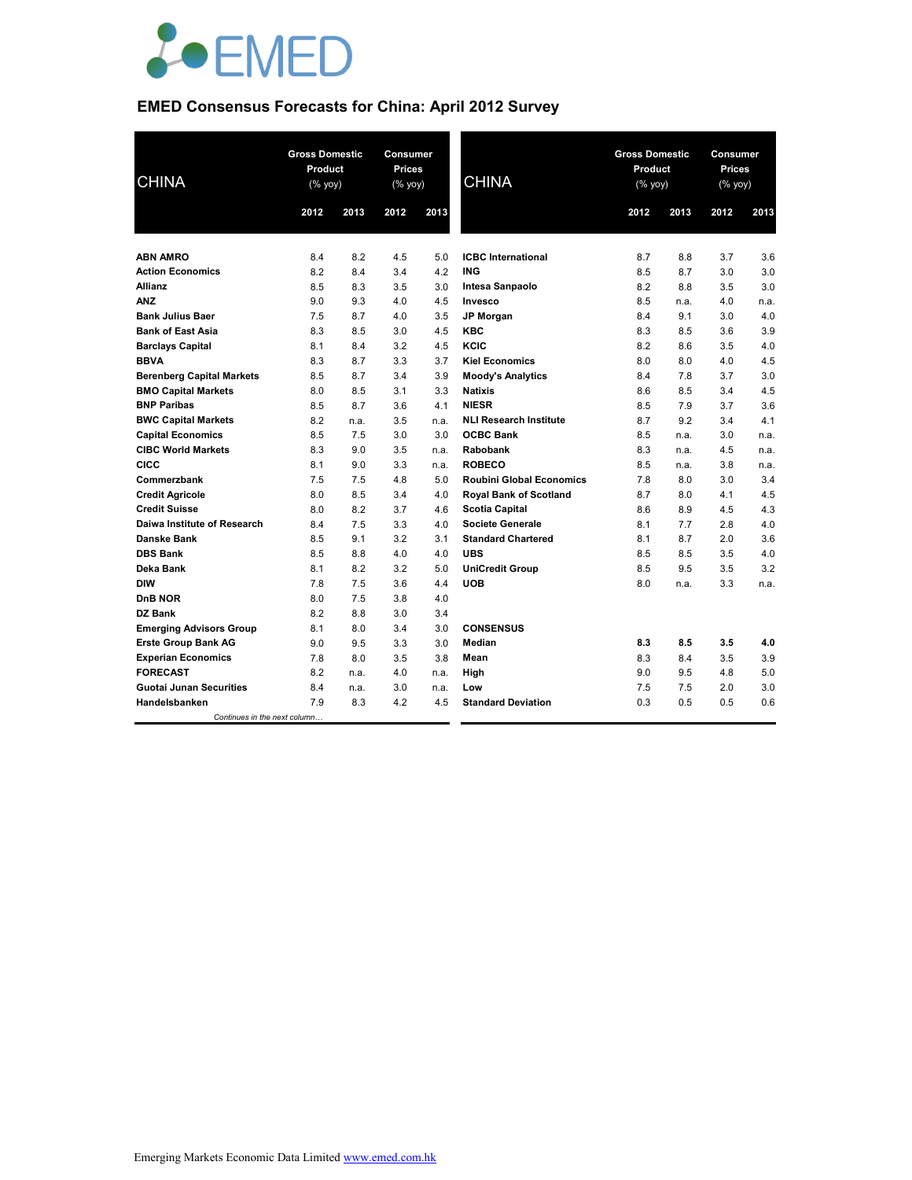

# **EMED Consensus Forecasts for China: April 2012 Survey**

| <b>CHINA</b>                           | <b>Gross Domestic</b><br>Product<br>(% yoy) |            | Consumer<br><b>Prices</b><br>(% yoy) |            | <b>CHINA</b>                    | <b>Gross Domestic</b><br>Product<br>(% yoy) |            | Consumer<br><b>Prices</b><br>$(%$ (% yoy) |            |
|----------------------------------------|---------------------------------------------|------------|--------------------------------------|------------|---------------------------------|---------------------------------------------|------------|-------------------------------------------|------------|
|                                        | 2012                                        | 2013       | 2012                                 | 2013       |                                 | 2012                                        | 2013       | 2012                                      | 2013       |
|                                        |                                             |            |                                      |            |                                 |                                             |            |                                           |            |
| <b>ABN AMRO</b>                        | 8.4                                         | 8.2        | 4.5                                  | 5.0        | <b>ICBC</b> International       | 8.7                                         | 8.8        | 3.7                                       | 3.6        |
| <b>Action Economics</b>                | 8.2                                         | 8.4        | 3.4                                  | 4.2        | <b>ING</b>                      | 8.5                                         | 8.7        | 3.0                                       | 3.0        |
| <b>Allianz</b>                         | 8.5                                         | 8.3        | 3.5                                  | 3.0        | Intesa Sanpaolo                 | 8.2                                         | 8.8        | 3.5                                       | 3.0        |
| <b>ANZ</b><br><b>Bank Julius Baer</b>  | 9.0                                         | 9.3        | 4.0                                  | 4.5        | Invesco                         | 8.5                                         | n.a.       | 4.0                                       | n.a.       |
|                                        | 7.5                                         | 8.7        | 4.0                                  | 3.5        | <b>JP Morgan</b>                | 8.4                                         | 9.1        | 3.0                                       | 4.0        |
| <b>Bank of East Asia</b>               | 8.3                                         | 8.5        | 3.0<br>3.2                           | 4.5        | <b>KBC</b><br>KCIC              | 8.3<br>8.2                                  | 8.5        | 3.6                                       | 3.9<br>4.0 |
| <b>Barclays Capital</b><br><b>BBVA</b> | 8.1<br>8.3                                  | 8.4<br>8.7 | 3.3                                  | 4.5<br>3.7 | <b>Kiel Economics</b>           | 8.0                                         | 8.6<br>8.0 | 3.5<br>4.0                                | 4.5        |
| <b>Berenberg Capital Markets</b>       | 8.5                                         | 8.7        | 3.4                                  | 3.9        | <b>Moody's Analytics</b>        | 8.4                                         | 7.8        | 3.7                                       | 3.0        |
| <b>BMO Capital Markets</b>             | 8.0                                         | 8.5        | 3.1                                  | 3.3        | <b>Natixis</b>                  | 8.6                                         | 8.5        | 3.4                                       | 4.5        |
| <b>BNP Paribas</b>                     | 8.5                                         | 8.7        | 3.6                                  | 4.1        | <b>NIESR</b>                    | 8.5                                         | 7.9        | 3.7                                       | 3.6        |
| <b>BWC Capital Markets</b>             | 8.2                                         | n.a.       | 3.5                                  | n.a.       | <b>NLI Research Institute</b>   | 8.7                                         | 9.2        | 3.4                                       | 4.1        |
| <b>Capital Economics</b>               | 8.5                                         | 7.5        | 3.0                                  | 3.0        | <b>OCBC Bank</b>                | 8.5                                         | n.a.       | 3.0                                       | n.a.       |
| <b>CIBC World Markets</b>              | 8.3                                         | 9.0        | 3.5                                  | n.a.       | Rabobank                        | 8.3                                         | n.a.       | 4.5                                       | n.a.       |
| <b>CICC</b>                            | 8.1                                         | 9.0        | 3.3                                  | n.a.       | <b>ROBECO</b>                   | 8.5                                         | n.a.       | 3.8                                       | n.a.       |
| Commerzbank                            | 7.5                                         | 7.5        | 4.8                                  | 5.0        | <b>Roubini Global Economics</b> | 7.8                                         | 8.0        | 3.0                                       | 3.4        |
| <b>Credit Agricole</b>                 | 8.0                                         | 8.5        | 3.4                                  | 4.0        | <b>Royal Bank of Scotland</b>   | 8.7                                         | 8.0        | 4.1                                       | 4.5        |
| <b>Credit Suisse</b>                   | 8.0                                         | 8.2        | 3.7                                  | 4.6        | <b>Scotia Capital</b>           | 8.6                                         | 8.9        | 4.5                                       | 4.3        |
| Daiwa Institute of Research            | 8.4                                         | 7.5        | 3.3                                  | 4.0        | <b>Societe Generale</b>         | 8.1                                         | 7.7        | 2.8                                       | 4.0        |
| Danske Bank                            | 8.5                                         | 9.1        | 3.2                                  | 3.1        | <b>Standard Chartered</b>       | 8.1                                         | 8.7        | 2.0                                       | 3.6        |
| <b>DBS Bank</b>                        | 8.5                                         | 8.8        | 4.0                                  | 4.0        | <b>UBS</b>                      | 8.5                                         | 8.5        | 3.5                                       | 4.0        |
| Deka Bank                              | 8.1                                         | 8.2        | 3.2                                  | 5.0        | <b>UniCredit Group</b>          | 8.5                                         | 9.5        | 3.5                                       | 3.2        |
| <b>DIW</b>                             | 7.8                                         | 7.5        | 3.6                                  | 4.4        | <b>UOB</b>                      | 8.0                                         | n.a.       | 3.3                                       | n.a.       |
| <b>DnB NOR</b>                         | 8.0                                         | 7.5        | 3.8                                  | 4.0        |                                 |                                             |            |                                           |            |
| DZ Bank                                | 8.2                                         | 8.8        | 3.0                                  | 3.4        |                                 |                                             |            |                                           |            |
| <b>Emerging Advisors Group</b>         | 8.1                                         | 8.0        | 3.4                                  | 3.0        | <b>CONSENSUS</b>                |                                             |            |                                           |            |
| <b>Erste Group Bank AG</b>             | 9.0                                         | 9.5        | 3.3                                  | 3.0        | <b>Median</b>                   | 8.3                                         | 8.5        | 3.5                                       | 4.0        |
| <b>Experian Economics</b>              | 7.8                                         | 8.0        | 3.5                                  | 3.8        | Mean                            | 8.3                                         | 8.4        | 3.5                                       | 3.9        |
| <b>FORECAST</b>                        | 8.2                                         | n.a.       | 4.0                                  | n.a.       | High                            | 9.0                                         | 9.5        | 4.8                                       | 5.0        |
| <b>Guotai Junan Securities</b>         | 8.4                                         | n.a.       | 3.0                                  | n.a.       | Low                             | 7.5                                         | 7.5        | 2.0                                       | 3.0        |
| Handelsbanken                          | 7.9                                         | 8.3        | 4.2                                  | 4.5        | <b>Standard Deviation</b>       | 0.3                                         | 0.5        | 0.5                                       | 0.6        |
| Continues in the next column           |                                             |            |                                      |            |                                 |                                             |            |                                           |            |